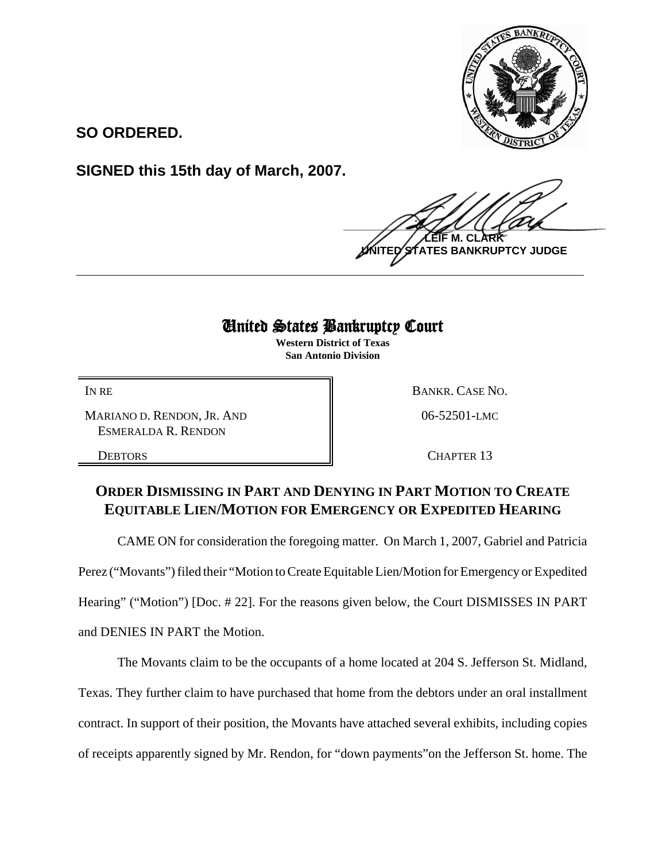

**SO ORDERED.**

**SIGNED this 15th day of March, 2007.**

 $\frac{1}{2}$ **M. TES BANKRUPTCY JUDGE \_\_\_\_\_\_\_\_\_\_\_\_\_\_\_\_\_\_\_\_\_\_\_\_\_\_\_\_\_\_\_\_\_\_\_\_\_\_\_\_\_\_\_\_\_\_\_\_\_\_\_\_\_\_\_\_\_\_\_\_**

## United States Bankruptcy Court

**Western District of Texas San Antonio Division**

MARIANO D. RENDON, JR. AND ESMERALDA R. RENDON

IN RE BANKR. CASE NO. 06-52501-LMC

DEBTORS **CHAPTER 13** 

## **ORDER DISMISSING IN PART AND DENYING IN PART MOTION TO CREATE EQUITABLE LIEN/MOTION FOR EMERGENCY OR EXPEDITED HEARING**

CAME ON for consideration the foregoing matter. On March 1, 2007, Gabriel and Patricia Perez ("Movants") filed their "Motion to Create Equitable Lien/Motion for Emergency or Expedited Hearing" ("Motion") [Doc. #22]. For the reasons given below, the Court DISMISSES IN PART and DENIES IN PART the Motion.

The Movants claim to be the occupants of a home located at 204 S. Jefferson St. Midland,

Texas. They further claim to have purchased that home from the debtors under an oral installment

contract. In support of their position, the Movants have attached several exhibits, including copies

of receipts apparently signed by Mr. Rendon, for "down payments"on the Jefferson St. home. The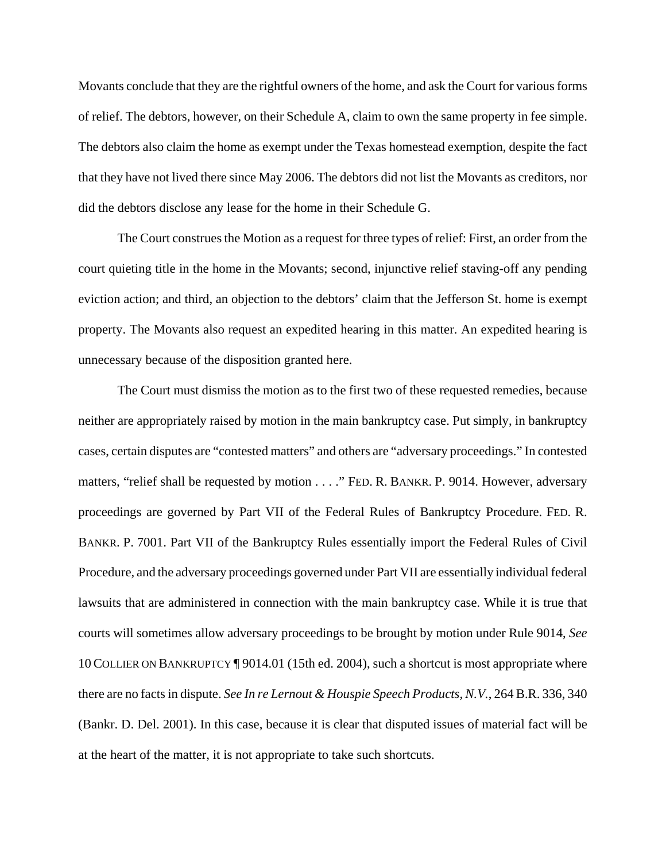Movants conclude that they are the rightful owners of the home, and ask the Court for various forms of relief. The debtors, however, on their Schedule A, claim to own the same property in fee simple. The debtors also claim the home as exempt under the Texas homestead exemption, despite the fact that they have not lived there since May 2006. The debtors did not list the Movants as creditors, nor did the debtors disclose any lease for the home in their Schedule G.

The Court construes the Motion as a request for three types of relief: First, an order from the court quieting title in the home in the Movants; second, injunctive relief staving-off any pending eviction action; and third, an objection to the debtors' claim that the Jefferson St. home is exempt property. The Movants also request an expedited hearing in this matter. An expedited hearing is unnecessary because of the disposition granted here.

The Court must dismiss the motion as to the first two of these requested remedies, because neither are appropriately raised by motion in the main bankruptcy case. Put simply, in bankruptcy cases, certain disputes are "contested matters" and others are "adversary proceedings." In contested matters, "relief shall be requested by motion . . . ." FED. R. BANKR. P. 9014. However, adversary proceedings are governed by Part VII of the Federal Rules of Bankruptcy Procedure. FED. R. BANKR. P. 7001. Part VII of the Bankruptcy Rules essentially import the Federal Rules of Civil Procedure, and the adversary proceedings governed under Part VII are essentially individual federal lawsuits that are administered in connection with the main bankruptcy case. While it is true that courts will sometimes allow adversary proceedings to be brought by motion under Rule 9014, *See* 10COLLIER ON BANKRUPTCY ¶ 9014.01 (15th ed. 2004), such a shortcut is most appropriate where there are no facts in dispute. *See In re Lernout & Houspie Speech Products, N.V.*, 264 B.R. 336, 340 (Bankr. D. Del. 2001). In this case, because it is clear that disputed issues of material fact will be at the heart of the matter, it is not appropriate to take such shortcuts.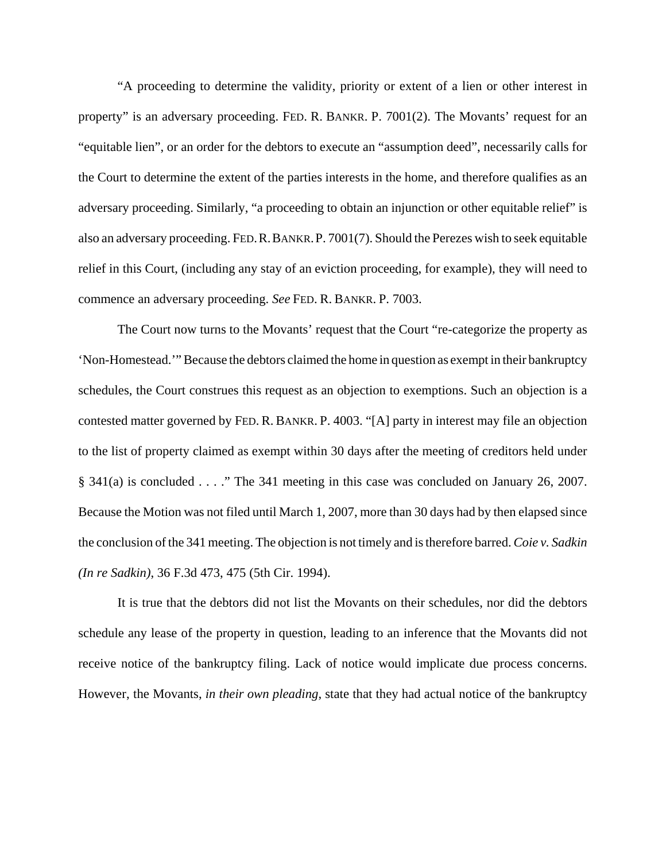"A proceeding to determine the validity, priority or extent of a lien or other interest in property" is an adversary proceeding. FED. R. BANKR. P. 7001(2). The Movants' request for an "equitable lien", or an order for the debtors to execute an "assumption deed", necessarily calls for the Court to determine the extent of the parties interests in the home, and therefore qualifies as an adversary proceeding. Similarly, "a proceeding to obtain an injunction or other equitable relief" is also an adversary proceeding. FED.R.BANKR.P. 7001(7). Should the Perezes wish to seek equitable relief in this Court, (including any stay of an eviction proceeding, for example), they will need to commence an adversary proceeding. *See* FED. R. BANKR. P. 7003.

The Court now turns to the Movants' request that the Court "re-categorize the property as 'Non-Homestead.'" Because the debtors claimed the home in question as exempt in their bankruptcy schedules, the Court construes this request as an objection to exemptions. Such an objection is a contested matter governed by FED. R. BANKR. P. 4003. "[A] party in interest may file an objection to the list of property claimed as exempt within 30 days after the meeting of creditors held under § 341(a) is concluded  $\ldots$  ." The 341 meeting in this case was concluded on January 26, 2007. Because the Motion was not filed until March 1, 2007, more than 30 days had by then elapsed since the conclusion of the 341 meeting. The objection is not timely and is therefore barred. *Coie v. Sadkin (In re Sadkin)*, 36 F.3d 473, 475 (5th Cir. 1994).

It is true that the debtors did not list the Movants on their schedules, nor did the debtors schedule any lease of the property in question, leading to an inference that the Movants did not receive notice of the bankruptcy filing. Lack of notice would implicate due process concerns. However, the Movants, *in their own pleading*, state that they had actual notice of the bankruptcy